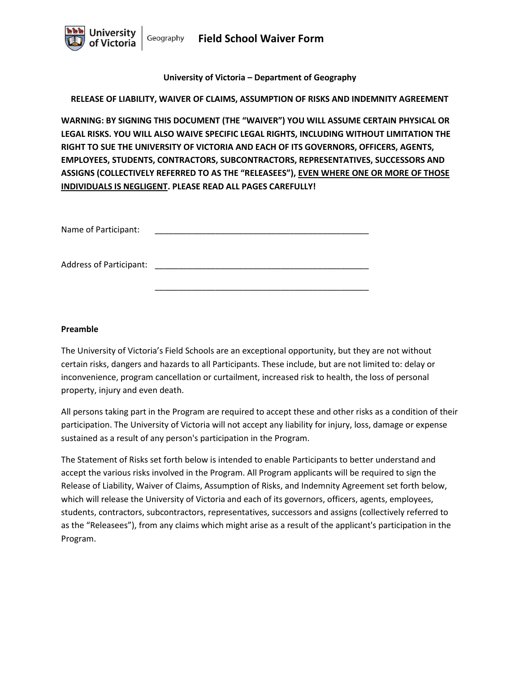

**University of Victoria – Department of Geography**

**RELEASE OF LIABILITY, WAIVER OF CLAIMS, ASSUMPTION OF RISKS AND INDEMNITY AGREEMENT**

**WARNING: BY SIGNING THIS DOCUMENT (THE "WAIVER") YOU WILL ASSUME CERTAIN PHYSICAL OR LEGAL RISKS. YOU WILL ALSO WAIVE SPECIFIC LEGAL RIGHTS, INCLUDING WITHOUT LIMITATION THE RIGHT TO SUE THE UNIVERSITY OF VICTORIA AND EACH OF ITS GOVERNORS, OFFICERS, AGENTS, EMPLOYEES, STUDENTS, CONTRACTORS, SUBCONTRACTORS, REPRESENTATIVES, SUCCESSORS AND ASSIGNS (COLLECTIVELY REFERRED TO AS THE "RELEASEES"), EVEN WHERE ONE OR MORE OF THOSE INDIVIDUALS IS NEGLIGENT. PLEASE READ ALL PAGES CAREFULLY!** 

| Name of Participant: |  |
|----------------------|--|
|                      |  |

Address of Participant: \_\_\_\_\_\_\_\_\_\_\_\_\_\_\_\_\_\_\_\_\_\_\_\_\_\_\_\_\_\_\_\_\_\_\_\_\_\_\_\_\_\_\_\_\_\_

#### **Preamble**

The University of Victoria's Field Schools are an exceptional opportunity, but they are not without certain risks, dangers and hazards to all Participants. These include, but are not limited to: delay or inconvenience, program cancellation or curtailment, increased risk to health, the loss of personal property, injury and even death.

All persons taking part in the Program are required to accept these and other risks as a condition of their participation. The University of Victoria will not accept any liability for injury, loss, damage or expense sustained as a result of any person's participation in the Program.

\_\_\_\_\_\_\_\_\_\_\_\_\_\_\_\_\_\_\_\_\_\_\_\_\_\_\_\_\_\_\_\_\_\_\_\_\_\_\_\_\_\_\_\_\_\_

The Statement of Risks set forth below is intended to enable Participants to better understand and accept the various risks involved in the Program. All Program applicants will be required to sign the Release of Liability, Waiver of Claims, Assumption of Risks, and Indemnity Agreement set forth below, which will release the University of Victoria and each of its governors, officers, agents, employees, students, contractors, subcontractors, representatives, successors and assigns (collectively referred to as the "Releasees"), from any claims which might arise as a result of the applicant's participation in the Program.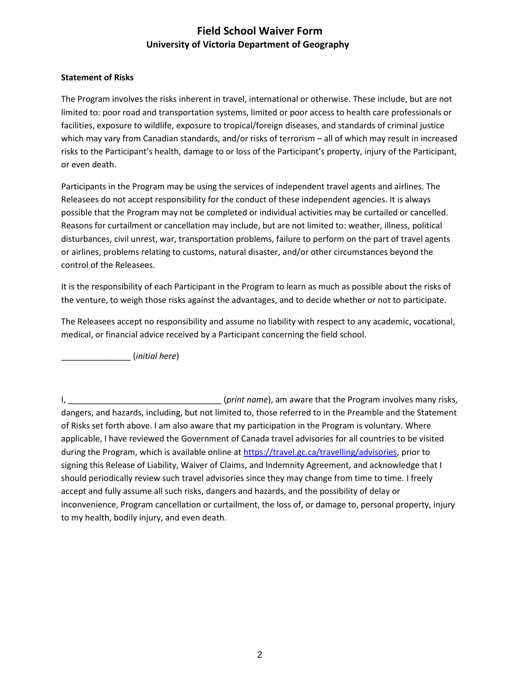# **Field School Waiver Form University of Victoria Department of Geography**

#### **Statement of Risks**

The Program involves the risks inherent in travel, international or otherwise. These include, but are not limited to: poor road and transportation systems, limited or poor access to health care professionals or facilities, exposure to wildlife, exposure to tropical/foreign diseases, and standards of criminal justice which may vary from Canadian standards, and/or risks of terrorism – all of which may result in increased risks to the Participant's health, damage to or loss of the Participant's property, injury of the Participant, or even death.

Participants in the Program may be using the services of independent travel agents and airlines. The Releasees do not accept responsibility for the conduct of these independent agencies. It is always possible that the Program may not be completed or individual activities may be curtailed or cancelled. Reasons for curtailment or cancellation may include, but are not limited to: weather, illness, political disturbances, civil unrest, war, transportation problems, failure to perform on the part of travel agents or airlines, problems relating to customs, natural disaster, and/or other circumstances beyond the control of the Releasees.

It is the responsibility of each Participant in the Program to learn as much as possible about the risks of the venture, to weigh those risks against the advantages, and to decide whether or not to participate.

The Releasees accept no responsibility and assume no liability with respect to any academic, vocational, medical, or financial advice received by a Participant concerning the field school.

\_\_\_\_\_\_\_\_\_\_\_\_\_\_\_ (*initial here*)

I, \_\_\_\_\_\_\_\_\_\_\_\_\_\_\_\_\_\_\_\_\_\_\_\_\_\_\_\_\_\_\_\_\_ (*print name*), am aware that the Program involves many risks, dangers, and hazards, including, but not limited to, those referred to in the Preamble and the Statement of Risks set forth above. I am also aware that my participation in the Program is voluntary. Where applicable, I have reviewed the Government of Canada travel advisories for all countries to be visited during the Program, which is available online a[t https://travel.gc.ca/travelling/advisories,](https://travel.gc.ca/travelling/advisories) prior to signing this Release of Liability, Waiver of Claims, and Indemnity Agreement, and acknowledge that I should periodically review such travel advisories since they may change from time to time. I freely accept and fully assume all such risks, dangers and hazards, and the possibility of delay or inconvenience, Program cancellation or curtailment, the loss of, or damage to, personal property, injury to my health, bodily injury, and even death.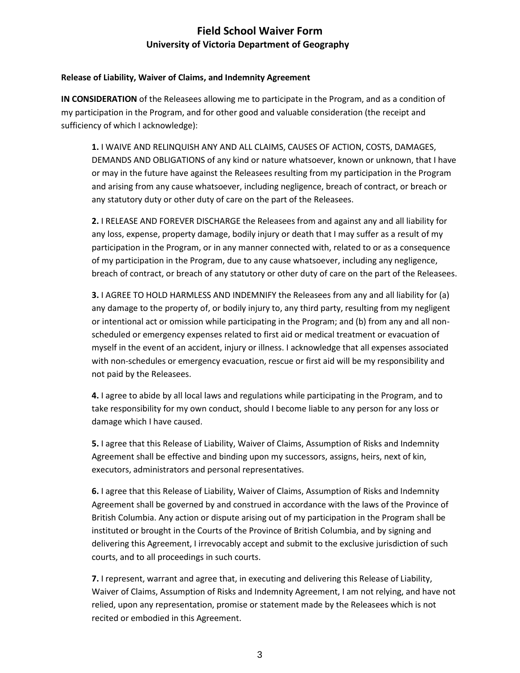# **Field School Waiver Form University of Victoria Department of Geography**

#### **Release of Liability, Waiver of Claims, and Indemnity Agreement**

**IN CONSIDERATION** of the Releasees allowing me to participate in the Program, and as a condition of my participation in the Program, and for other good and valuable consideration (the receipt and sufficiency of which I acknowledge):

**1.** I WAIVE AND RELINQUISH ANY AND ALL CLAIMS, CAUSES OF ACTION, COSTS, DAMAGES, DEMANDS AND OBLIGATIONS of any kind or nature whatsoever, known or unknown, that I have or may in the future have against the Releasees resulting from my participation in the Program and arising from any cause whatsoever, including negligence, breach of contract, or breach or any statutory duty or other duty of care on the part of the Releasees.

**2.** I RELEASE AND FOREVER DISCHARGE the Releasees from and against any and all liability for any loss, expense, property damage, bodily injury or death that I may suffer as a result of my participation in the Program, or in any manner connected with, related to or as a consequence of my participation in the Program, due to any cause whatsoever, including any negligence, breach of contract, or breach of any statutory or other duty of care on the part of the Releasees.

**3.** I AGREE TO HOLD HARMLESS AND INDEMNIFY the Releasees from any and all liability for (a) any damage to the property of, or bodily injury to, any third party, resulting from my negligent or intentional act or omission while participating in the Program; and (b) from any and all nonscheduled or emergency expenses related to first aid or medical treatment or evacuation of myself in the event of an accident, injury or illness. I acknowledge that all expenses associated with non-schedules or emergency evacuation, rescue or first aid will be my responsibility and not paid by the Releasees.

**4.** I agree to abide by all local laws and regulations while participating in the Program, and to take responsibility for my own conduct, should I become liable to any person for any loss or damage which I have caused.

**5.** I agree that this Release of Liability, Waiver of Claims, Assumption of Risks and Indemnity Agreement shall be effective and binding upon my successors, assigns, heirs, next of kin, executors, administrators and personal representatives.

**6.** I agree that this Release of Liability, Waiver of Claims, Assumption of Risks and Indemnity Agreement shall be governed by and construed in accordance with the laws of the Province of British Columbia. Any action or dispute arising out of my participation in the Program shall be instituted or brought in the Courts of the Province of British Columbia, and by signing and delivering this Agreement, I irrevocably accept and submit to the exclusive jurisdiction of such courts, and to all proceedings in such courts.

**7.** I represent, warrant and agree that, in executing and delivering this Release of Liability, Waiver of Claims, Assumption of Risks and Indemnity Agreement, I am not relying, and have not relied, upon any representation, promise or statement made by the Releasees which is not recited or embodied in this Agreement.